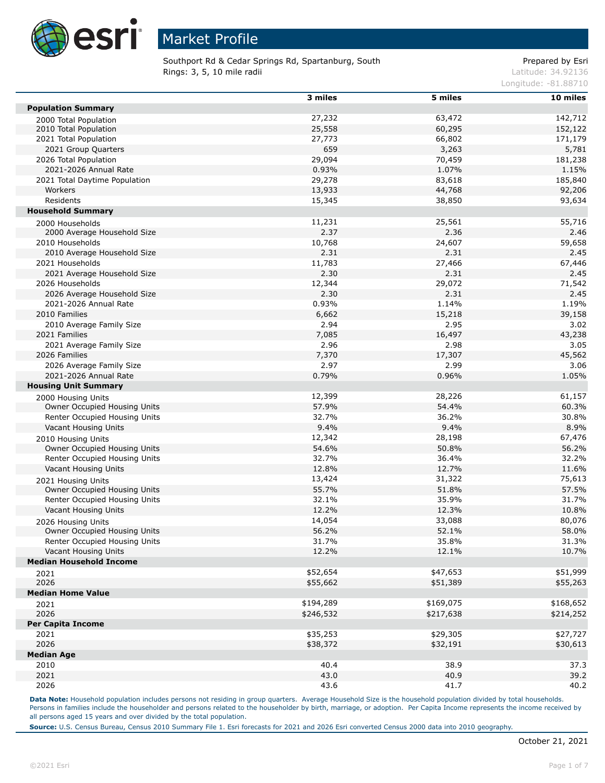

Southport Rd & Cedar Springs Rd, Spartanburg, South **Rings: 3, 5, 10 mile radii Latitude: 34.92136** Latitude: 34.92136

#### Prepared by Esri

Longitude: -81.88710

|                                                    | 3 miles      | 5 miles   | 10 miles     |
|----------------------------------------------------|--------------|-----------|--------------|
| <b>Population Summary</b>                          |              |           |              |
| 2000 Total Population                              | 27,232       | 63,472    | 142,712      |
| 2010 Total Population                              | 25,558       | 60,295    | 152,122      |
| 2021 Total Population                              | 27,773       | 66,802    | 171,179      |
| 2021 Group Quarters                                | 659          | 3,263     | 5,781        |
| 2026 Total Population                              | 29,094       | 70,459    | 181,238      |
| 2021-2026 Annual Rate                              | 0.93%        | 1.07%     | 1.15%        |
| 2021 Total Daytime Population                      | 29,278       | 83,618    | 185,840      |
| Workers                                            | 13,933       | 44,768    | 92,206       |
| Residents                                          | 15,345       | 38,850    | 93,634       |
| <b>Household Summary</b>                           |              |           |              |
| 2000 Households                                    | 11,231       | 25,561    | 55,716       |
| 2000 Average Household Size                        | 2.37         | 2.36      | 2.46         |
| 2010 Households                                    | 10,768       | 24,607    | 59,658       |
| 2010 Average Household Size                        | 2.31         | 2.31      | 2.45         |
| 2021 Households                                    | 11,783       | 27,466    | 67,446       |
| 2021 Average Household Size                        | 2.30         | 2.31      | 2.45         |
| 2026 Households                                    | 12,344       | 29,072    | 71,542       |
| 2026 Average Household Size                        | 2.30         | 2.31      | 2.45         |
| 2021-2026 Annual Rate                              | 0.93%        | 1.14%     | 1.19%        |
| 2010 Families                                      | 6,662        | 15,218    | 39,158       |
| 2010 Average Family Size                           | 2.94         | 2.95      | 3.02         |
| 2021 Families                                      | 7,085        | 16,497    | 43,238       |
| 2021 Average Family Size                           | 2.96         | 2.98      | 3.05         |
| 2026 Families                                      | 7,370        | 17,307    | 45,562       |
| 2026 Average Family Size                           | 2.97         | 2.99      | 3.06         |
| 2021-2026 Annual Rate                              | 0.79%        | 0.96%     | 1.05%        |
| <b>Housing Unit Summary</b>                        |              |           |              |
| 2000 Housing Units                                 | 12,399       | 28,226    | 61,157       |
| Owner Occupied Housing Units                       | 57.9%        | 54.4%     | 60.3%        |
| Renter Occupied Housing Units                      | 32.7%        | 36.2%     | 30.8%        |
| Vacant Housing Units                               | 9.4%         | 9.4%      | 8.9%         |
| 2010 Housing Units                                 | 12,342       | 28,198    | 67,476       |
| Owner Occupied Housing Units                       | 54.6%        | 50.8%     | 56.2%        |
| Renter Occupied Housing Units                      | 32.7%        | 36.4%     | 32.2%        |
| Vacant Housing Units                               | 12.8%        | 12.7%     | 11.6%        |
|                                                    | 13,424       | 31,322    | 75,613       |
| 2021 Housing Units<br>Owner Occupied Housing Units | 55.7%        | 51.8%     | 57.5%        |
| Renter Occupied Housing Units                      | 32.1%        | 35.9%     | 31.7%        |
| Vacant Housing Units                               | 12.2%        | 12.3%     | 10.8%        |
|                                                    | 14,054       | 33,088    | 80,076       |
| 2026 Housing Units<br>Owner Occupied Housing Units | 56.2%        | 52.1%     | 58.0%        |
| Renter Occupied Housing Units                      | 31.7%        | 35.8%     | 31.3%        |
| Vacant Housing Units                               | 12.2%        | 12.1%     | 10.7%        |
| <b>Median Household Income</b>                     |              |           |              |
|                                                    | \$52,654     | \$47,653  | \$51,999     |
| 2021<br>2026                                       | \$55,662     | \$51,389  | \$55,263     |
| <b>Median Home Value</b>                           |              |           |              |
|                                                    | \$194,289    | \$169,075 | \$168,652    |
| 2021                                               |              |           |              |
| 2026<br><b>Per Capita Income</b>                   | \$246,532    | \$217,638 | \$214,252    |
|                                                    |              |           |              |
| 2021<br>2026                                       | \$35,253     | \$29,305  | \$27,727     |
|                                                    | \$38,372     | \$32,191  | \$30,613     |
| <b>Median Age</b>                                  |              |           |              |
| 2010                                               | 40.4<br>43.0 | 38.9      | 37.3<br>39.2 |
| 2021                                               |              | 40.9      |              |
| 2026                                               | 43.6         | 41.7      | 40.2         |

Data Note: Household population includes persons not residing in group quarters. Average Household Size is the household population divided by total households. Persons in families include the householder and persons related to the householder by birth, marriage, or adoption. Per Capita Income represents the income received by all persons aged 15 years and over divided by the total population.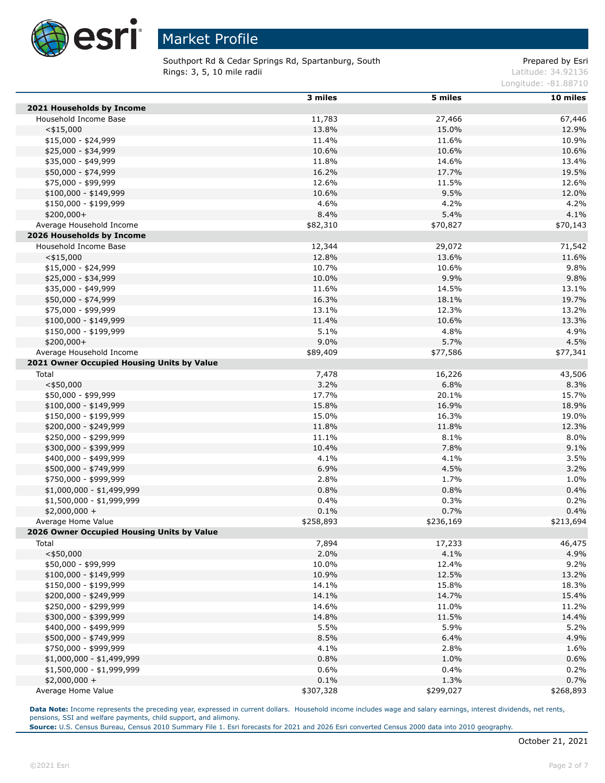

Southport Rd & Cedar Springs Rd, Spartanburg, South **Rings: 3, 5, 10 mile radii Latitude: 34.92136** Latitude: 34.92136

Prepared by Esri

Longitude: -81.88710

|                                            | 3 miles   | 5 miles   | 10 miles  |
|--------------------------------------------|-----------|-----------|-----------|
| 2021 Households by Income                  |           |           |           |
| Household Income Base                      | 11,783    | 27,466    | 67,446    |
| $<$ \$15,000                               | 13.8%     | 15.0%     | 12.9%     |
| $$15,000 - $24,999$                        | 11.4%     | 11.6%     | 10.9%     |
| \$25,000 - \$34,999                        | 10.6%     | 10.6%     | 10.6%     |
| \$35,000 - \$49,999                        | 11.8%     | 14.6%     | 13.4%     |
| \$50,000 - \$74,999                        | 16.2%     | 17.7%     | 19.5%     |
| \$75,000 - \$99,999                        | 12.6%     | 11.5%     | 12.6%     |
| $$100,000 - $149,999$                      | 10.6%     | 9.5%      | 12.0%     |
| \$150,000 - \$199,999                      | 4.6%      | 4.2%      | 4.2%      |
| $$200,000+$                                | 8.4%      | 5.4%      | 4.1%      |
| Average Household Income                   | \$82,310  | \$70,827  | \$70,143  |
| 2026 Households by Income                  |           |           |           |
| Household Income Base                      | 12,344    | 29,072    | 71,542    |
| $<$ \$15,000                               | 12.8%     | 13.6%     | 11.6%     |
| $$15,000 - $24,999$                        | 10.7%     | 10.6%     | 9.8%      |
| \$25,000 - \$34,999                        | 10.0%     | 9.9%      | 9.8%      |
| \$35,000 - \$49,999                        | 11.6%     | 14.5%     | 13.1%     |
| \$50,000 - \$74,999                        | 16.3%     | 18.1%     | 19.7%     |
| \$75,000 - \$99,999                        | 13.1%     | 12.3%     | 13.2%     |
| $$100,000 - $149,999$                      | 11.4%     | 10.6%     | 13.3%     |
| \$150,000 - \$199,999                      | 5.1%      | 4.8%      | 4.9%      |
| $$200,000+$                                | 9.0%      | 5.7%      | 4.5%      |
| Average Household Income                   | \$89,409  | \$77,586  | \$77,341  |
| 2021 Owner Occupied Housing Units by Value |           |           |           |
| Total                                      | 7,478     | 16,226    | 43,506    |
| $<$ \$50,000                               | 3.2%      | 6.8%      | 8.3%      |
| \$50,000 - \$99,999                        | 17.7%     | 20.1%     | 15.7%     |
| \$100,000 - \$149,999                      | 15.8%     | 16.9%     | 18.9%     |
| \$150,000 - \$199,999                      | 15.0%     | 16.3%     | 19.0%     |
| \$200,000 - \$249,999                      | 11.8%     | 11.8%     | 12.3%     |
| \$250,000 - \$299,999                      | 11.1%     | 8.1%      | 8.0%      |
| \$300,000 - \$399,999                      | 10.4%     | 7.8%      | 9.1%      |
| \$400,000 - \$499,999                      | 4.1%      | 4.1%      | 3.5%      |
| \$500,000 - \$749,999                      | 6.9%      | 4.5%      | 3.2%      |
| \$750,000 - \$999,999                      | 2.8%      | 1.7%      | 1.0%      |
| $$1,000,000 - $1,499,999$                  | 0.8%      | 0.8%      | 0.4%      |
| \$1,500,000 - \$1,999,999                  | 0.4%      | 0.3%      | 0.2%      |
| $$2,000,000 +$                             | 0.1%      | 0.7%      | 0.4%      |
| Average Home Value                         | \$258,893 | \$236,169 | \$213,694 |
| 2026 Owner Occupied Housing Units by Value |           |           |           |
| Total                                      | 7,894     | 17,233    | 46,475    |
| $<$ \$50,000                               | 2.0%      | 4.1%      | 4.9%      |
| \$50,000 - \$99,999                        | 10.0%     | 12.4%     | 9.2%      |
| \$100,000 - \$149,999                      | 10.9%     | 12.5%     | 13.2%     |
| \$150,000 - \$199,999                      | 14.1%     | 15.8%     | 18.3%     |
| \$200,000 - \$249,999                      | 14.1%     | 14.7%     | 15.4%     |
| \$250,000 - \$299,999                      | 14.6%     | 11.0%     | 11.2%     |
| \$300,000 - \$399,999                      | 14.8%     | 11.5%     | 14.4%     |
| \$400,000 - \$499,999                      | 5.5%      | 5.9%      | 5.2%      |
| \$500,000 - \$749,999                      | 8.5%      | 6.4%      | 4.9%      |
| \$750,000 - \$999,999                      | 4.1%      | 2.8%      | 1.6%      |
| $$1,000,000 - $1,499,999$                  | 0.8%      | 1.0%      | 0.6%      |
| \$1,500,000 - \$1,999,999                  | 0.6%      | 0.4%      | 0.2%      |
| $$2,000,000 +$                             | 0.1%      | 1.3%      | 0.7%      |
| Average Home Value                         | \$307,328 | \$299,027 | \$268,893 |

Data Note: Income represents the preceding year, expressed in current dollars. Household income includes wage and salary earnings, interest dividends, net rents, pensions, SSI and welfare payments, child support, and alimony.

**Source:** U.S. Census Bureau, Census 2010 Summary File 1. Esri forecasts for 2021 and 2026 Esri converted Census 2000 data into 2010 geography.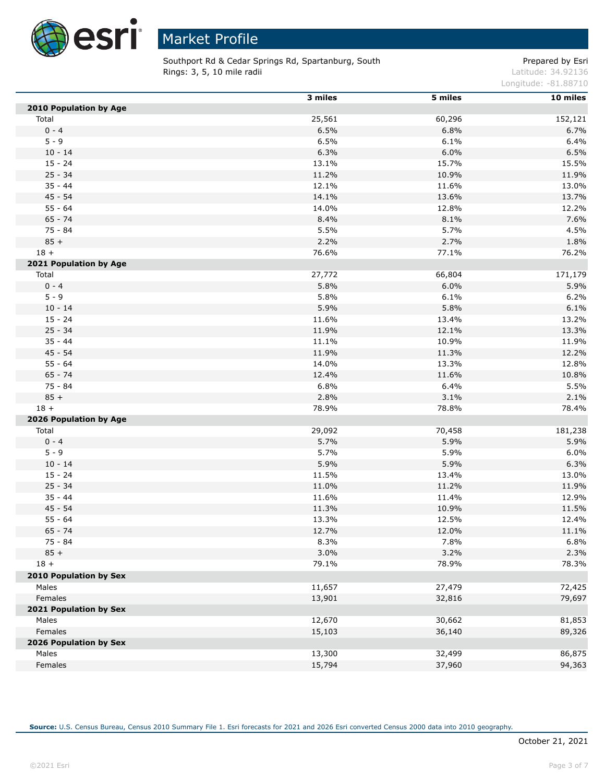

L

# Market Profile

Southport Rd & Cedar Springs Rd, Spartanburg, South **Rings: 3, 5, 10 mile radii Latitude: 34.92136** Latitude: 34.92136

Prepared by Esri

Longitude: -81.88710

|                        | 3 miles | 5 miles | 10 miles |
|------------------------|---------|---------|----------|
| 2010 Population by Age |         |         |          |
| Total                  | 25,561  | 60,296  | 152,121  |
| $0 - 4$                | 6.5%    | 6.8%    | 6.7%     |
| $5 - 9$                | 6.5%    | 6.1%    | 6.4%     |
| $10 - 14$              | 6.3%    | 6.0%    | 6.5%     |
| $15 - 24$              | 13.1%   | 15.7%   | 15.5%    |
| $25 - 34$              | 11.2%   | 10.9%   | 11.9%    |
| $35 - 44$              | 12.1%   | 11.6%   | 13.0%    |
| $45 - 54$              | 14.1%   | 13.6%   | 13.7%    |
| $55 - 64$              | 14.0%   | 12.8%   | 12.2%    |
| $65 - 74$              | 8.4%    | 8.1%    | 7.6%     |
| 75 - 84                | 5.5%    | 5.7%    | 4.5%     |
| $85 +$                 | 2.2%    | 2.7%    | 1.8%     |
| $18 +$                 | 76.6%   | 77.1%   | 76.2%    |
| 2021 Population by Age |         |         |          |
| Total                  | 27,772  | 66,804  | 171,179  |
| $0 - 4$                | 5.8%    | 6.0%    | 5.9%     |
| $5 - 9$                | 5.8%    | 6.1%    | 6.2%     |
| $10 - 14$              | 5.9%    | 5.8%    | 6.1%     |
| $15 - 24$              | 11.6%   | 13.4%   | 13.2%    |
| $25 - 34$              | 11.9%   | 12.1%   | 13.3%    |
| $35 - 44$              | 11.1%   | 10.9%   | 11.9%    |
| 45 - 54                | 11.9%   | 11.3%   | 12.2%    |
| $55 - 64$              | 14.0%   | 13.3%   | 12.8%    |
| $65 - 74$              | 12.4%   | 11.6%   | 10.8%    |
| $75 - 84$              | 6.8%    | 6.4%    | 5.5%     |
| $85 +$                 | 2.8%    | 3.1%    | 2.1%     |
| $18 +$                 | 78.9%   | 78.8%   | 78.4%    |
| 2026 Population by Age |         |         |          |
| Total                  | 29,092  | 70,458  | 181,238  |
| $0 - 4$                | 5.7%    | 5.9%    | 5.9%     |
| $5 - 9$                | 5.7%    | 5.9%    | 6.0%     |
| $10 - 14$              | 5.9%    | 5.9%    | 6.3%     |
| $15 - 24$              | 11.5%   | 13.4%   | 13.0%    |
| $25 - 34$              | 11.0%   | 11.2%   | 11.9%    |
| $35 - 44$              | 11.6%   | 11.4%   | 12.9%    |
| $45 - 54$              | 11.3%   | 10.9%   | 11.5%    |
| $55 - 64$              | 13.3%   | 12.5%   | 12.4%    |
| $65 - 74$              | 12.7%   | 12.0%   | 11.1%    |
| $75 - 84$              | 8.3%    | 7.8%    | 6.8%     |
| $85 +$                 | 3.0%    | 3.2%    | 2.3%     |
| $18 +$                 | 79.1%   | 78.9%   | 78.3%    |
| 2010 Population by Sex |         |         |          |
| Males                  | 11,657  | 27,479  | 72,425   |
| Females                | 13,901  | 32,816  | 79,697   |
| 2021 Population by Sex |         |         |          |
| Males                  | 12,670  | 30,662  | 81,853   |
| Females                | 15,103  | 36,140  | 89,326   |
| 2026 Population by Sex |         |         |          |
| Males                  | 13,300  | 32,499  | 86,875   |
| Females                | 15,794  | 37,960  | 94,363   |
|                        |         |         |          |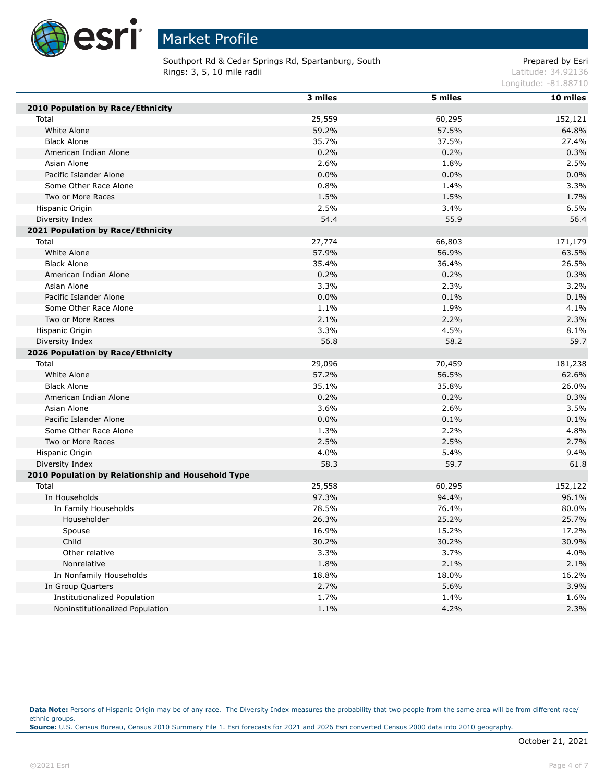

Southport Rd & Cedar Springs Rd, Spartanburg, South **Rings: 3, 5, 10 mile radii Latitude: 34.92136** Latitude: 34.92136

Prepared by Esri

Longitude: -81.88710

|                                                    | 3 miles | 5 miles | 10 miles |
|----------------------------------------------------|---------|---------|----------|
| 2010 Population by Race/Ethnicity                  |         |         |          |
| Total                                              | 25,559  | 60,295  | 152,121  |
| White Alone                                        | 59.2%   | 57.5%   | 64.8%    |
| <b>Black Alone</b>                                 | 35.7%   | 37.5%   | 27.4%    |
| American Indian Alone                              | 0.2%    | 0.2%    | 0.3%     |
| Asian Alone                                        | 2.6%    | 1.8%    | 2.5%     |
| Pacific Islander Alone                             | 0.0%    | 0.0%    | 0.0%     |
| Some Other Race Alone                              | 0.8%    | 1.4%    | 3.3%     |
| Two or More Races                                  | 1.5%    | 1.5%    | 1.7%     |
| Hispanic Origin                                    | 2.5%    | 3.4%    | 6.5%     |
| Diversity Index                                    | 54.4    | 55.9    | 56.4     |
| 2021 Population by Race/Ethnicity                  |         |         |          |
| Total                                              | 27,774  | 66,803  | 171,179  |
| White Alone                                        | 57.9%   | 56.9%   | 63.5%    |
| <b>Black Alone</b>                                 | 35.4%   | 36.4%   | 26.5%    |
| American Indian Alone                              | 0.2%    | 0.2%    | 0.3%     |
| Asian Alone                                        | 3.3%    | 2.3%    | 3.2%     |
| Pacific Islander Alone                             | 0.0%    | 0.1%    | 0.1%     |
| Some Other Race Alone                              | 1.1%    | 1.9%    | 4.1%     |
| Two or More Races                                  | 2.1%    | 2.2%    | 2.3%     |
| Hispanic Origin                                    | 3.3%    | 4.5%    | 8.1%     |
| Diversity Index                                    | 56.8    | 58.2    | 59.7     |
| 2026 Population by Race/Ethnicity                  |         |         |          |
| Total                                              | 29,096  | 70,459  | 181,238  |
| White Alone                                        | 57.2%   | 56.5%   | 62.6%    |
| <b>Black Alone</b>                                 | 35.1%   | 35.8%   | 26.0%    |
| American Indian Alone                              | 0.2%    | 0.2%    | 0.3%     |
| Asian Alone                                        | 3.6%    | 2.6%    | 3.5%     |
| Pacific Islander Alone                             | 0.0%    | 0.1%    | 0.1%     |
| Some Other Race Alone                              | 1.3%    | 2.2%    | 4.8%     |
| Two or More Races                                  | 2.5%    | 2.5%    | 2.7%     |
| Hispanic Origin                                    | 4.0%    | 5.4%    | 9.4%     |
| Diversity Index                                    | 58.3    | 59.7    | 61.8     |
| 2010 Population by Relationship and Household Type |         |         |          |
| Total                                              | 25,558  | 60,295  | 152,122  |
| In Households                                      | 97.3%   | 94.4%   | 96.1%    |
| In Family Households                               | 78.5%   | 76.4%   | 80.0%    |
| Householder                                        | 26.3%   | 25.2%   | 25.7%    |
| Spouse                                             | 16.9%   | 15.2%   | 17.2%    |
| Child                                              | 30.2%   | 30.2%   | 30.9%    |
| Other relative                                     | 3.3%    | 3.7%    | 4.0%     |
| Nonrelative                                        | 1.8%    | 2.1%    | 2.1%     |
| In Nonfamily Households                            | 18.8%   | 18.0%   | 16.2%    |
| In Group Quarters                                  | 2.7%    | 5.6%    | 3.9%     |
| Institutionalized Population                       | 1.7%    | 1.4%    | 1.6%     |
| Noninstitutionalized Population                    | 1.1%    | 4.2%    | 2.3%     |

Data Note: Persons of Hispanic Origin may be of any race. The Diversity Index measures the probability that two people from the same area will be from different race/ ethnic groups. **Source:** U.S. Census Bureau, Census 2010 Summary File 1. Esri forecasts for 2021 and 2026 Esri converted Census 2000 data into 2010 geography.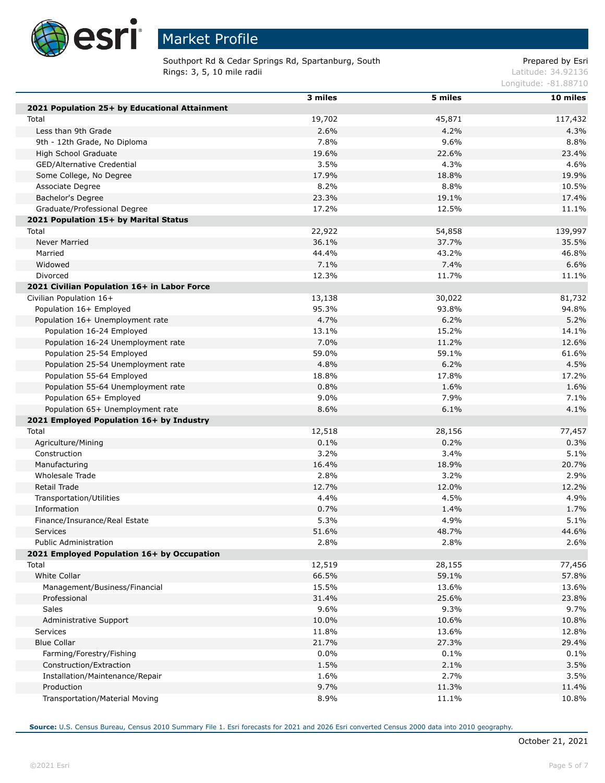

Г

Г

Г

# Market Profile

Southport Rd & Cedar Springs Rd, Spartanburg, South **Rings: 3, 5, 10 mile radii Latitude: 34.92136** Latitude: 34.92136

Prepared by Esri

Longitude: -81.88710

|                                                         | 3 miles | 5 miles | 10 miles |
|---------------------------------------------------------|---------|---------|----------|
| 2021 Population 25+ by Educational Attainment           |         |         |          |
| Total                                                   | 19,702  | 45,871  | 117,432  |
| Less than 9th Grade                                     | 2.6%    | 4.2%    | 4.3%     |
| 9th - 12th Grade, No Diploma                            | 7.8%    | 9.6%    | 8.8%     |
| High School Graduate                                    | 19.6%   | 22.6%   | 23.4%    |
| GED/Alternative Credential                              | 3.5%    | 4.3%    | 4.6%     |
| Some College, No Degree                                 | 17.9%   | 18.8%   | 19.9%    |
| Associate Degree                                        | 8.2%    | 8.8%    | 10.5%    |
| Bachelor's Degree                                       | 23.3%   | 19.1%   | 17.4%    |
| Graduate/Professional Degree                            | 17.2%   | 12.5%   | 11.1%    |
| 2021 Population 15+ by Marital Status                   |         |         |          |
| Total                                                   | 22,922  | 54,858  | 139,997  |
| Never Married                                           | 36.1%   | 37.7%   | 35.5%    |
| Married                                                 | 44.4%   | 43.2%   | 46.8%    |
| Widowed                                                 | 7.1%    | 7.4%    | 6.6%     |
|                                                         |         |         |          |
| Divorced<br>2021 Civilian Population 16+ in Labor Force | 12.3%   | 11.7%   | 11.1%    |
|                                                         |         |         |          |
| Civilian Population 16+                                 | 13,138  | 30,022  | 81,732   |
| Population 16+ Employed                                 | 95.3%   | 93.8%   | 94.8%    |
| Population 16+ Unemployment rate                        | 4.7%    | 6.2%    | 5.2%     |
| Population 16-24 Employed                               | 13.1%   | 15.2%   | 14.1%    |
| Population 16-24 Unemployment rate                      | 7.0%    | 11.2%   | 12.6%    |
| Population 25-54 Employed                               | 59.0%   | 59.1%   | 61.6%    |
| Population 25-54 Unemployment rate                      | 4.8%    | 6.2%    | 4.5%     |
| Population 55-64 Employed                               | 18.8%   | 17.8%   | 17.2%    |
| Population 55-64 Unemployment rate                      | 0.8%    | 1.6%    | 1.6%     |
| Population 65+ Employed                                 | 9.0%    | 7.9%    | 7.1%     |
| Population 65+ Unemployment rate                        | 8.6%    | 6.1%    | 4.1%     |
| 2021 Employed Population 16+ by Industry                |         |         |          |
| Total                                                   | 12,518  | 28,156  | 77,457   |
| Agriculture/Mining                                      | 0.1%    | 0.2%    | 0.3%     |
| Construction                                            | 3.2%    | 3.4%    | 5.1%     |
| Manufacturing                                           | 16.4%   | 18.9%   | 20.7%    |
| Wholesale Trade                                         | 2.8%    | 3.2%    | 2.9%     |
| <b>Retail Trade</b>                                     | 12.7%   | 12.0%   | 12.2%    |
| Transportation/Utilities                                | 4.4%    | 4.5%    | 4.9%     |
| Information                                             | 0.7%    | 1.4%    | 1.7%     |
| Finance/Insurance/Real Estate                           | 5.3%    | 4.9%    | 5.1%     |
| <b>Services</b>                                         | 51.6%   | 48.7%   | 44.6%    |
| Public Administration                                   | 2.8%    | 2.8%    | 2.6%     |
| 2021 Employed Population 16+ by Occupation              |         |         |          |
| Total                                                   | 12,519  | 28,155  | 77,456   |
| White Collar                                            | 66.5%   | 59.1%   | 57.8%    |
| Management/Business/Financial                           | 15.5%   | 13.6%   | 13.6%    |
| Professional                                            | 31.4%   | 25.6%   | 23.8%    |
| Sales                                                   | 9.6%    | 9.3%    | 9.7%     |
| Administrative Support                                  | 10.0%   | 10.6%   | 10.8%    |
| Services                                                | 11.8%   | 13.6%   | 12.8%    |
| <b>Blue Collar</b>                                      | 21.7%   | 27.3%   | 29.4%    |
| Farming/Forestry/Fishing                                | 0.0%    | 0.1%    | 0.1%     |
| Construction/Extraction                                 | 1.5%    | 2.1%    | 3.5%     |
| Installation/Maintenance/Repair                         | 1.6%    | 2.7%    | 3.5%     |
| Production                                              | 9.7%    | 11.3%   | 11.4%    |
| Transportation/Material Moving                          | 8.9%    | 11.1%   | 10.8%    |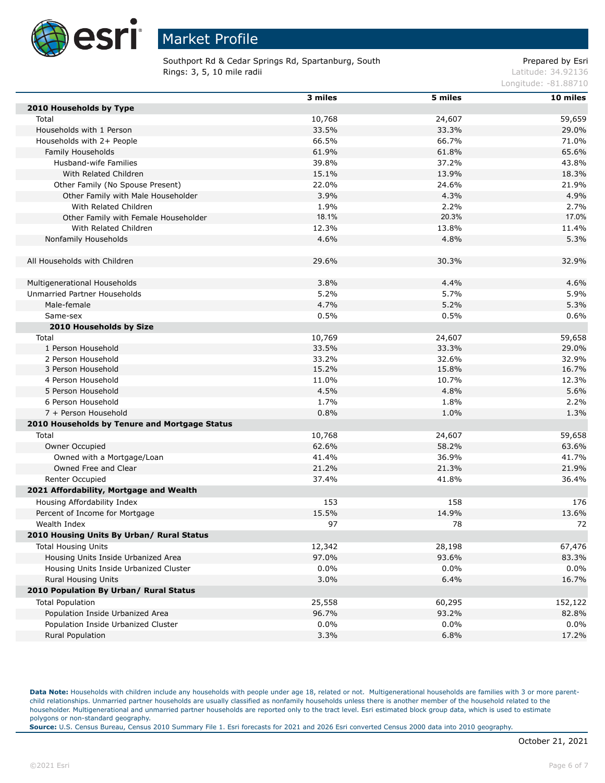

Southport Rd & Cedar Springs Rd, Spartanburg, South **Rings: 3, 5, 10 mile radii Latitude: 34.92136** Latitude: 34.92136

### Prepared by Esri

Longitude: -81.88710

|                                               | 3 miles | 5 miles | 10 miles |
|-----------------------------------------------|---------|---------|----------|
| 2010 Households by Type                       |         |         |          |
| Total                                         | 10,768  | 24,607  | 59,659   |
| Households with 1 Person                      | 33.5%   | 33.3%   | 29.0%    |
| Households with 2+ People                     | 66.5%   | 66.7%   | 71.0%    |
| Family Households                             | 61.9%   | 61.8%   | 65.6%    |
| Husband-wife Families                         | 39.8%   | 37.2%   | 43.8%    |
| With Related Children                         | 15.1%   | 13.9%   | 18.3%    |
| Other Family (No Spouse Present)              | 22.0%   | 24.6%   | 21.9%    |
| Other Family with Male Householder            | 3.9%    | 4.3%    | 4.9%     |
| With Related Children                         | 1.9%    | 2.2%    | 2.7%     |
| Other Family with Female Householder          | 18.1%   | 20.3%   | 17.0%    |
| With Related Children                         | 12.3%   | 13.8%   | 11.4%    |
| Nonfamily Households                          | 4.6%    | 4.8%    | 5.3%     |
|                                               |         |         |          |
| All Households with Children                  | 29.6%   | 30.3%   | 32.9%    |
|                                               |         |         |          |
| Multigenerational Households                  | 3.8%    | 4.4%    | 4.6%     |
| Unmarried Partner Households                  | 5.2%    | 5.7%    | 5.9%     |
| Male-female                                   | 4.7%    | 5.2%    | 5.3%     |
| Same-sex                                      | 0.5%    | 0.5%    | 0.6%     |
| 2010 Households by Size                       |         |         |          |
| Total                                         | 10,769  | 24,607  | 59,658   |
| 1 Person Household                            | 33.5%   | 33.3%   | 29.0%    |
| 2 Person Household                            | 33.2%   | 32.6%   | 32.9%    |
| 3 Person Household                            | 15.2%   | 15.8%   | 16.7%    |
| 4 Person Household                            | 11.0%   | 10.7%   | 12.3%    |
| 5 Person Household                            | 4.5%    | 4.8%    | 5.6%     |
| 6 Person Household                            | 1.7%    | 1.8%    | 2.2%     |
| 7 + Person Household                          | 0.8%    | 1.0%    | 1.3%     |
| 2010 Households by Tenure and Mortgage Status |         |         |          |
| Total                                         | 10,768  | 24,607  | 59,658   |
| Owner Occupied                                | 62.6%   | 58.2%   | 63.6%    |
| Owned with a Mortgage/Loan                    | 41.4%   | 36.9%   | 41.7%    |
| Owned Free and Clear                          | 21.2%   | 21.3%   | 21.9%    |
| Renter Occupied                               | 37.4%   | 41.8%   | 36.4%    |
| 2021 Affordability, Mortgage and Wealth       |         |         |          |
|                                               |         |         |          |
| Housing Affordability Index                   | 153     | 158     | 176      |
| Percent of Income for Mortgage                | 15.5%   | 14.9%   | 13.6%    |
| Wealth Index                                  | 97      | 78      | 72       |
| 2010 Housing Units By Urban/ Rural Status     |         |         |          |
| <b>Total Housing Units</b>                    | 12,342  | 28,198  | 67,476   |
| Housing Units Inside Urbanized Area           | 97.0%   | 93.6%   | 83.3%    |
| Housing Units Inside Urbanized Cluster        | 0.0%    | $0.0\%$ | 0.0%     |
| Rural Housing Units                           | 3.0%    | 6.4%    | 16.7%    |
| 2010 Population By Urban/ Rural Status        |         |         |          |
| <b>Total Population</b>                       | 25,558  | 60,295  | 152,122  |
| Population Inside Urbanized Area              | 96.7%   | 93.2%   | 82.8%    |
| Population Inside Urbanized Cluster           | 0.0%    | $0.0\%$ | 0.0%     |
| Rural Population                              | 3.3%    | 6.8%    | 17.2%    |

Data Note: Households with children include any households with people under age 18, related or not. Multigenerational households are families with 3 or more parentchild relationships. Unmarried partner households are usually classified as nonfamily households unless there is another member of the household related to the householder. Multigenerational and unmarried partner households are reported only to the tract level. Esri estimated block group data, which is used to estimate polygons or non-standard geography.